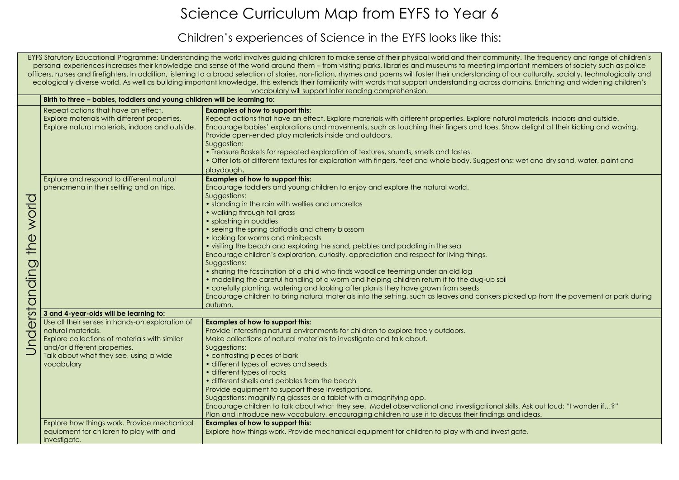## Science Curriculum Map from EYFS to Year 6

## Children's experiences of Science in the EYFS looks like this:

EYFS Statutory Educational Programme: Understanding the world involves guiding children to make sense of their physical world and their community. The frequency and range of children's personal experiences increases their knowledge and sense of the world around them – from visiting parks, libraries and museums to meeting important members of society such as police officers, nurses and firefighters. In addition, listening to a broad selection of stories, non-fiction, rhymes and poems will foster their understanding of our culturally, socially, technologically and ecologically diverse world. As well as building important knowledge, this extends their familiarity with words that support understanding across domains. Enriching and widening children's vocabulary will support later reading comprehension.

|                                                    | Birth to three - babies, toddlers and young children will be learning to:                                                                                                                                      |                                                                                                                                                                                                                                                                                                                                                                                                                                                                                                                                                                                                                                                                                                                                                                                                                                                                                                                                              |  |  |
|----------------------------------------------------|----------------------------------------------------------------------------------------------------------------------------------------------------------------------------------------------------------------|----------------------------------------------------------------------------------------------------------------------------------------------------------------------------------------------------------------------------------------------------------------------------------------------------------------------------------------------------------------------------------------------------------------------------------------------------------------------------------------------------------------------------------------------------------------------------------------------------------------------------------------------------------------------------------------------------------------------------------------------------------------------------------------------------------------------------------------------------------------------------------------------------------------------------------------------|--|--|
|                                                    | Repeat actions that have an effect.<br>Explore materials with different properties.<br>Explore natural materials, indoors and outside.                                                                         | <b>Examples of how to support this:</b><br>Repeat actions that have an effect. Explore materials with different properties. Explore natural materion<br>Encourage babies' explorations and movements, such as touching their fingers and toes. Show delight<br>Provide open-ended play materials inside and outdoors.<br>Suggestion:<br>• Treasure Baskets for repeated exploration of textures, sounds, smells and tastes.<br>• Offer lots of different textures for exploration with fingers, feet and whole body. Suggestions: wet and<br>playdough.                                                                                                                                                                                                                                                                                                                                                                                      |  |  |
| world<br>$\bigcirc$<br>$\frac{1}{1}$<br>erstanding | Explore and respond to different natural<br>phenomena in their setting and on trips.                                                                                                                           | <b>Examples of how to support this:</b><br>Encourage toddlers and young children to enjoy and explore the natural world.<br>Suggestions:<br>• standing in the rain with wellies and umbrellas<br>• walking through tall grass<br>• splashing in puddles<br>• seeing the spring daffodils and cherry blossom<br>• looking for worms and minibeasts<br>• visiting the beach and exploring the sand, pebbles and paddling in the sea<br>Encourage children's exploration, curiosity, appreciation and respect for living things.<br>Suggestions:<br>• sharing the fascination of a child who finds woodlice teeming under an old log<br>• modelling the careful handling of a worm and helping children return it to the dug-up soil<br>• carefully planting, watering and looking after plants they have grown from seeds<br>Encourage children to bring natural materials into the setting, such as leaves and conkers picked up f<br>autumn. |  |  |
|                                                    | 3 and 4-year-olds will be learning to:                                                                                                                                                                         |                                                                                                                                                                                                                                                                                                                                                                                                                                                                                                                                                                                                                                                                                                                                                                                                                                                                                                                                              |  |  |
| $\overline{O}$<br>$\subset$                        | Use all their senses in hands-on exploration of<br>natural materials.<br>Explore collections of materials with similar<br>and/or different properties.<br>Talk about what they see, using a wide<br>vocabulary | <b>Examples of how to support this:</b><br>Provide interesting natural environments for children to explore freely outdoors.<br>Make collections of natural materials to investigate and talk about.<br>Suggestions:<br>• contrasting pieces of bark<br>• different types of leaves and seeds<br>• different types of rocks<br>• different shells and pebbles from the beach<br>Provide equipment to support these investigations.<br>Suggestions: magnifying glasses or a tablet with a magnifying app.<br>Encourage children to talk about what they see. Model observational and investigational skills. Ask or<br>Plan and introduce new vocabulary, encouraging children to use it to discuss their findings and ideas.                                                                                                                                                                                                                 |  |  |
|                                                    | Explore how things work. Provide mechanical<br>equipment for children to play with and<br>investigate.                                                                                                         | <b>Examples of how to support this:</b><br>Explore how things work. Provide mechanical equipment for children to play with and investigate.                                                                                                                                                                                                                                                                                                                                                                                                                                                                                                                                                                                                                                                                                                                                                                                                  |  |  |

al materials, indoors and outside. bw delight at their kicking and waving.

wet and dry sand, water, paint and

ked up from the pavement or park during

ills. Ask out loud: "I wonder if…?"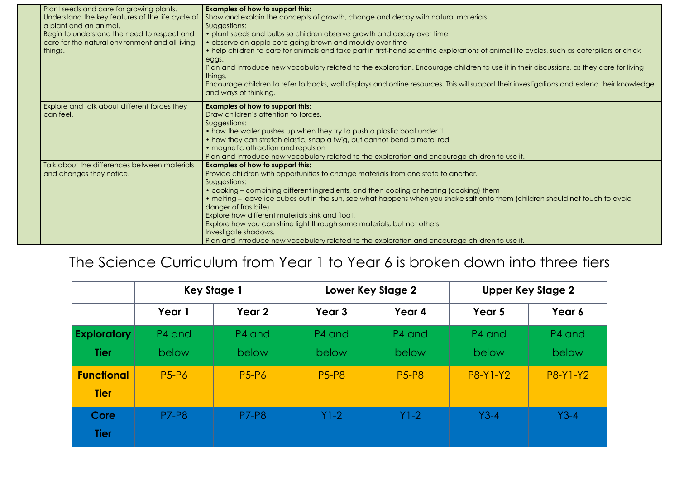| Plant seeds and care for growing plants.<br>Understand the key features of the life cycle of<br>a plant and an animal.<br>Begin to understand the need to respect and<br>care for the natural environment and all living<br>things. | <b>Examples of how to support this:</b><br>Show and explain the concepts of growth, change and decay with natural materials.<br>Suggestions:<br>· plant seeds and bulbs so children observe growth and decay over time<br>• observe an apple core going brown and mouldy over time<br>• help children to care for animals and take part in first-hand scientific explorations of animal life<br>eggs.<br>Plan and introduce new vocabulary related to the exploration. Encourage children to use it in the<br>things.<br>Encourage children to refer to books, wall displays and online resources. This will support their invert<br>and ways of thinking. |
|-------------------------------------------------------------------------------------------------------------------------------------------------------------------------------------------------------------------------------------|------------------------------------------------------------------------------------------------------------------------------------------------------------------------------------------------------------------------------------------------------------------------------------------------------------------------------------------------------------------------------------------------------------------------------------------------------------------------------------------------------------------------------------------------------------------------------------------------------------------------------------------------------------|
| Explore and talk about different forces they<br>can feel.                                                                                                                                                                           | <b>Examples of how to support this:</b><br>Draw children's attention to forces.<br>Suggestions:<br>• how the water pushes up when they try to push a plastic boat under it<br>• how they can stretch elastic, snap a twig, but cannot bend a metal rod<br>• magnetic attraction and repulsion<br>Plan and introduce new vocabulary related to the exploration and encourage children to use it.                                                                                                                                                                                                                                                            |
| Talk about the differences between materials<br>and changes they notice.                                                                                                                                                            | <b>Examples of how to support this:</b><br>Provide children with opportunities to change materials from one state to another.<br>Suggestions:<br>• cooking – combining different ingredients, and then cooling or heating (cooking) them<br>• melting – leave ice cubes out in the sun, see what happens when you shake salt onto them (ch<br>danger of frostbite)<br>Explore how different materials sink and float.<br>Explore how you can shine light through some materials, but not others.<br>Investigate shadows.<br>Plan and introduce new vocabulary related to the exploration and encourage children to use it.                                 |

## The Science Curriculum from Year 1 to Year 6 is broken down into three tiers



|                    | <b>Key Stage 1</b> |              | <b>Lower Key Stage 2</b> |              | <b>Upper Key Stage 2</b> |                 |
|--------------------|--------------------|--------------|--------------------------|--------------|--------------------------|-----------------|
|                    | Year 1             | Year 2       | Year <sub>3</sub>        | Year 4       | Year 5                   | Year 6          |
| <b>Exploratory</b> | P4 and             | P4 and       | P4 and                   | P4 and       | P4 and                   | P4 and          |
| <b>Tier</b>        | below              | <b>below</b> | <b>below</b>             | below        | below                    | below           |
| <b>Functional</b>  | <b>P5-P6</b>       | <b>P5-P6</b> | <b>P5-P8</b>             | <b>P5-P8</b> | P8-Y1-Y2                 | <b>P8-Y1-Y2</b> |
| <b>Tier</b>        |                    |              |                          |              |                          |                 |
| Core               | <b>P7-P8</b>       | <b>P7-P8</b> | $Y1-2$                   | $Y1-2$       | $Y3-4$                   | $Y3-4$          |
| <b>Tier</b>        |                    |              |                          |              |                          |                 |

I life cycles, such as caterpillars or chick In their discussions, as they care for living investigations and extend their knowledge

(children should not touch to avoid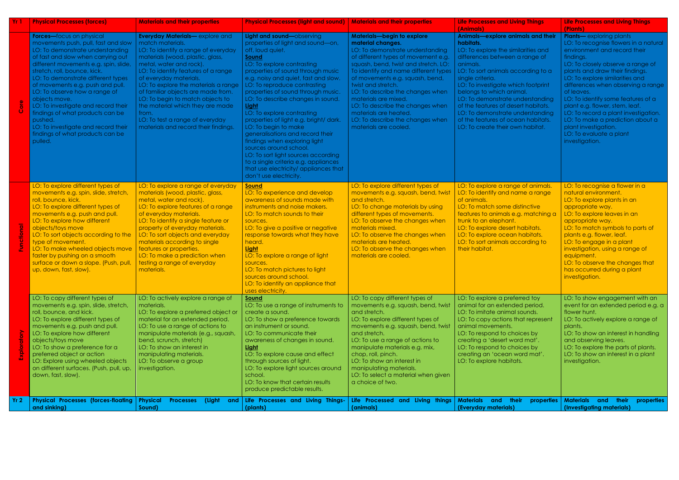| Yr 1            | <b>Physical Processes (forces)</b>                                                                                                                                                                                                                                                                                                                                                                                                                                                                                         | <b>Materials and their properties</b>                                                                                                                                                                                                                                                                                                                                                                                                                                      | <b>Physical Processes (light and sound)</b>                                                                                                                                                                                                                                                                                                                                                                                                                                                                                                                                                                                                                                 | <b>Materials and their properties</b>                                                                                                                                                                                                                                                                                                                                                                                                                            | <b>Life Processes and Living Things</b><br>(Animals)                                                                                                                                                                                                                                                                                                                                                                                                     | <b>Life Processes and Living Things</b><br>(Plants)                                                                                                                                                                                                                                                                                                                                                                                                                                                            |
|-----------------|----------------------------------------------------------------------------------------------------------------------------------------------------------------------------------------------------------------------------------------------------------------------------------------------------------------------------------------------------------------------------------------------------------------------------------------------------------------------------------------------------------------------------|----------------------------------------------------------------------------------------------------------------------------------------------------------------------------------------------------------------------------------------------------------------------------------------------------------------------------------------------------------------------------------------------------------------------------------------------------------------------------|-----------------------------------------------------------------------------------------------------------------------------------------------------------------------------------------------------------------------------------------------------------------------------------------------------------------------------------------------------------------------------------------------------------------------------------------------------------------------------------------------------------------------------------------------------------------------------------------------------------------------------------------------------------------------------|------------------------------------------------------------------------------------------------------------------------------------------------------------------------------------------------------------------------------------------------------------------------------------------------------------------------------------------------------------------------------------------------------------------------------------------------------------------|----------------------------------------------------------------------------------------------------------------------------------------------------------------------------------------------------------------------------------------------------------------------------------------------------------------------------------------------------------------------------------------------------------------------------------------------------------|----------------------------------------------------------------------------------------------------------------------------------------------------------------------------------------------------------------------------------------------------------------------------------------------------------------------------------------------------------------------------------------------------------------------------------------------------------------------------------------------------------------|
|                 | Forces-focus on physical<br>movements push, pull, fast and slow<br>LO: To demonstrate understanding<br>of fast and slow when carrying out<br>different movements e.g. spin, slide,<br>stretch, roll, bounce, kick.<br>LO: To demonstrate different types<br>of movements e.g. push and pull.<br>LO: To observe how a range of<br>objects move.<br>LO: To investigate and record their<br>findings of what products can be<br>pushed.<br>LO: To investigate and record their<br>findings of what products can be<br>pulled. | <b>Everyday Materials-explore and</b><br>match materials.<br>LO: To identify a range of everyday<br>materials (wood, plastic, glass,<br>metal, water and rock).<br>LO: To identify features of a range<br>of everyday materials.<br>LO: To explore the materials a range<br>of familiar objects are made from.<br>LO: To begin to match objects to<br>the material which they are made<br>from.<br>LO: To test a range of everyday<br>materials and record their findings. | Light and sound-observing<br>properties of light and sound-on,<br>off, loud quiet.<br>Sound<br>LO: To explore contrasting<br>properties of sound through music<br>e.g. noisy and quiet, fast and slow.<br>LO: To reproduce contrasting<br>properties of sound through music.<br>LO: To describe changes in sound.<br>Light<br>LO: To explore contrasting<br>properties of light e.g. bright/ dark.<br>LO: To begin to make<br>generalisations and record their<br>findings when exploring light<br>sources around school.<br>LO: To sort light sources according<br>to a single criteria e.g. appliances<br>that use electricity/ appliances that<br>don't use electricity. | <b>Materials-begin to explore</b><br>material changes.<br>LO: To demonstrate understanding<br>of different types of movement e.g.<br>squash, bend, twist and stretch. LO:<br>To identify and name different types<br>of movements e.g. squash, bend,<br>twist and stretch.<br>LO: To describe the changes when<br>materials are mixed.<br>LO: To describe the changes when<br>materials are heated.<br>LO: To describe the changes when<br>materials are cooled. | Animals-explore animals and their<br>habitats.<br>LO: To explore the similarities and<br>differences between a range of<br>animals.<br>LO: To sort animals according to a<br>single criteria.<br>LO: To investigate which footprint<br>belongs to which animal.<br>LO: To demonstrate understanding<br>of the features of desert habitats.<br>LO: To demonstrate understanding<br>of the features of ocean habitats.<br>LO: To create their own habitat. | <b>Plants</b> — exploring plants<br>LO: To recognise flowers in a natural<br>environment and record their<br>findings.<br>LO: To closely observe a range of<br>plants and draw their findings.<br>LO: To explore similarities and<br>differences when observing a range<br>of leaves.<br>LO: To identify some features of a<br>plant e.g. flower, stem, leaf.<br>LO: To record a plant investigation.<br>LO: To make a prediction about a<br>plant investigation.<br>LO: To evaluate a plant<br>investigation. |
|                 | LO: To explore different types of<br>movements e.g. spin, slide, stretch,<br>roll, bounce, kick.<br>LO: To explore different types of<br>movements e.g. push and pull.<br>LO: To explore how different<br>objects/toys move<br>LO: To sort objects according to the<br>type of movement.<br>LO: To make wheeled objects move<br>faster by pushing on a smooth<br>surface or down a slope. (Push, pull,<br>up, down, fast, slow).                                                                                           | LO: To explore a range of everyday<br>materials (wood, plastic, glass,<br>metal, water and rock).<br>LO: To explore features of a range<br>of everyday materials.<br>LO: To identify a single feature or<br>property of everyday materials.<br>LO: To sort objects and everyday<br>materials according to single<br>features or properties.<br>LO: To make a prediction when<br>testing a range of everyday<br>materials.                                                  | Sound<br>LO: To experience and develop<br>awareness of sounds made with<br>instruments and noise makers.<br>LO: To match sounds to their<br>sources.<br>LO: To give a positive or negative<br>response towards what they have<br>heard.<br>Light<br>LO: To explore a range of light<br>sources.<br>LO: To match pictures to light<br>sources around school.<br>LO: To identify an appliance that<br>uses electricity.                                                                                                                                                                                                                                                       | LO: To explore different types of<br>movements e.g. squash, bend, twist<br>and stretch.<br>LO: To change materials by using<br>different types of movements.<br>LO: To observe the changes when<br>materials mixed.<br>LO: To observe the changes when<br>materials are heated.<br>LO: To observe the changes when<br>materials are cooled.                                                                                                                      | LO: To explore a range of animals.<br>LO: To identify and name a range<br>of animals.<br>LO: To match some distinctive<br>features to animals e.g. matching a<br>trunk to an elephant.<br>LO: To explore desert habitats.<br>LO: To explore ocean habitats.<br>LO: To sort animals according to<br>their habitat.                                                                                                                                        | LO: To recognise a flower in a<br>natural environment.<br>LO: To explore plants in an<br>appropriate way.<br>LO: To explore leaves in an<br>appropriate way.<br>LO: To match symbols to parts of<br>plants e.g. flower, leaf.<br>LO: To engage in a plant<br>investigation, using a range of<br>equipment.<br>LO: To observe the changes that<br>has occurred during a plant<br>investigation.                                                                                                                 |
|                 | LO: To copy different types of<br>movements e.g. spin, slide, stretch,<br>roll, bounce, and kick.<br>LO: To explore different types of<br>movements e.g. push and pull.<br>LO: To explore how different<br>objects/toys move<br>LO: To show a preference for a<br>preferred object or action<br>LO: Explore using wheeled objects<br>on different surfaces. (Push, pull, up,<br>down, fast, slow).                                                                                                                         | LO: To actively explore a range of<br>materials.<br>LO: To explore a preferred object or<br>material for an extended period.<br>LO: To use a range of actions to<br>manipulate materials (e.g., squash,<br>bend, scrunch, stretch)<br>LO: To show an interest in<br>manipulating materials.<br>LO: To observe a group<br>investigation.                                                                                                                                    | Sound<br>LO: To use a range of instruments to<br>create a sound.<br>LO: To show a preference towards<br>an instrument or sound.<br>LO: To communicate their<br>awareness of changes in sound.<br>Light<br>LO: To explore cause and effect<br>through sources of light.<br>LO: To explore light sources around<br>school.<br>LO: To know that certain results<br>produce predictable results.                                                                                                                                                                                                                                                                                | LO: To copy different types of<br>movements e.g. squash, bend, twist<br>and stretch.<br>LO: To explore different types of<br>movements e.g. squash, bend, twist<br>and stretch.<br>LO: To use a range of actions to<br>manipulate materials e.g. mix,<br>chop, roll, pinch.<br>LO: To show an interest in<br>manipulating materials.<br>LO: To select a material when given<br>a choice of two.                                                                  | LO: To explore a preferred toy<br>animal for an extended period.<br>LO: To imitate animal sounds.<br>LO: To copy actions that represent<br>animal movements.<br>LO: To respond to choices by<br>creating a 'desert word mat'.<br>LO: To respond to choices by<br>creating an 'ocean word mat'.<br>LO: To explore habitats.                                                                                                                               | LO: To show engagement with an<br>event for an extended period e.g. a<br>flower hunt.<br>LO: To actively explore a range of<br>plants.<br>LO: To show an interest in handling<br>and observing leaves.<br>LO: To explore the parts of plants.<br>LO: To show an interest in a plant<br>investigation.                                                                                                                                                                                                          |
| Yr <sub>2</sub> | <b>Physical Processes (forces-floating)</b><br>and sinking)                                                                                                                                                                                                                                                                                                                                                                                                                                                                | <b>Physical</b><br>(Light<br><b>Processes</b><br>and<br>Sound)                                                                                                                                                                                                                                                                                                                                                                                                             | Life Processes and Living Things-<br>(plants)                                                                                                                                                                                                                                                                                                                                                                                                                                                                                                                                                                                                                               | Life Processed and Living things<br>(animals)                                                                                                                                                                                                                                                                                                                                                                                                                    | <b>Materials</b> and their<br>properties<br>(Everyday materials)                                                                                                                                                                                                                                                                                                                                                                                         | <b>Materials</b> and their<br>properties<br>(Investigating materials)                                                                                                                                                                                                                                                                                                                                                                                                                                          |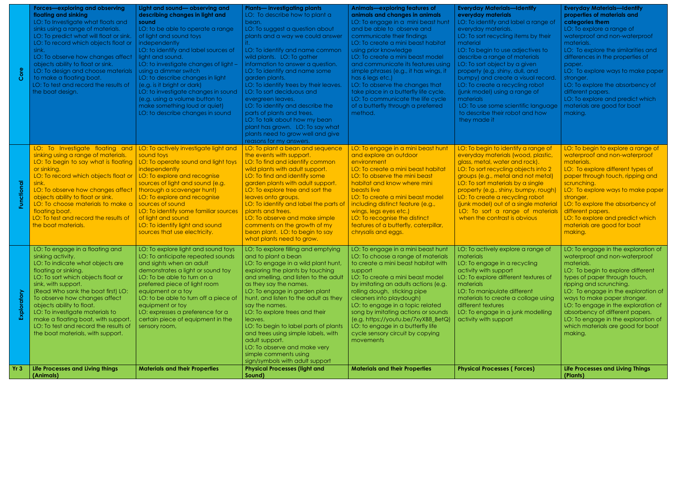| Yr 3     | To observe how changes affect<br>objects ability to float.<br>LO: To investigate materials to<br>make a floating boat, with support<br>LO: To test and record the results of<br>the boat materials, with support.<br>Life Processes and Living things                                                                                                                                                                                         | LO: to be able to turn off a piece of<br>equipment or toy<br>LO: expresses a preference for a<br>certain piece of equipment in the<br>sensory room,<br><b>Materials and their Properties</b>                                                                                                                                                                                                                                                                                                               | hunt, and listen to the adult as they<br>say the names.<br>LO: To explore trees and their<br>leaves.<br>LO: To begin to label parts of plants<br>and trees using simple labels, with<br>adult support.<br>LO: To observe and make very<br>simple comments using<br>sign/symbols with adult support<br><b>Physical Processes (light and</b>                                                                                                                                                                                                                                                                        | cleaners into playdough)<br>LO: to engage in a topic related<br>song by imitating actions or sounds<br>$(e.g. https://youtu.be/7xyXB8_BetQ)$<br>LO: to engage in a butterfly life<br>cycle sensory circuit by copying<br>movements<br><b>Materials and their Properties</b>                                                                                                                                                                                                                                                                | materials to create a collage using<br>different textures<br>LO: To engage in a junk modelling<br>activity with support<br><b>Physical Processes (Forces)</b>                                                                                                                                                                                                                                                                                                                                                                          | ways to make paper stronger.<br>LO: To engage in the exploration of<br>absorbency of different papers.<br>LO: To engage in the exploration of<br>which materials are good for boat<br>making.<br><b>Life Processes and Living Things</b>                                                                                                                                                                                                       |
|----------|-----------------------------------------------------------------------------------------------------------------------------------------------------------------------------------------------------------------------------------------------------------------------------------------------------------------------------------------------------------------------------------------------------------------------------------------------|------------------------------------------------------------------------------------------------------------------------------------------------------------------------------------------------------------------------------------------------------------------------------------------------------------------------------------------------------------------------------------------------------------------------------------------------------------------------------------------------------------|-------------------------------------------------------------------------------------------------------------------------------------------------------------------------------------------------------------------------------------------------------------------------------------------------------------------------------------------------------------------------------------------------------------------------------------------------------------------------------------------------------------------------------------------------------------------------------------------------------------------|--------------------------------------------------------------------------------------------------------------------------------------------------------------------------------------------------------------------------------------------------------------------------------------------------------------------------------------------------------------------------------------------------------------------------------------------------------------------------------------------------------------------------------------------|----------------------------------------------------------------------------------------------------------------------------------------------------------------------------------------------------------------------------------------------------------------------------------------------------------------------------------------------------------------------------------------------------------------------------------------------------------------------------------------------------------------------------------------|------------------------------------------------------------------------------------------------------------------------------------------------------------------------------------------------------------------------------------------------------------------------------------------------------------------------------------------------------------------------------------------------------------------------------------------------|
|          | LO: To engage in a floating and<br>sinking activity.<br>LO: To indicate what objects are<br>floating or sinking.<br>LO: To sort which objects float or<br>sink, with support.<br>(Read Who sank the boat first) LO:                                                                                                                                                                                                                           | LO: To explore light and sound toys<br>LO: To anticipate repeated sounds<br>and sights when an adult<br>demonstrates a light or sound toy<br>LO: To be able to turn on a<br>preferred piece of light room<br>equipment or a toy                                                                                                                                                                                                                                                                            | LO: To explore filling and emptying<br>and to plant a bean<br>LO: To engage in a wild plant hunt,<br>exploring the plants by touching<br>and smelling, and listen to the adult<br>as they say the names.<br>LO: To engage in garden plant                                                                                                                                                                                                                                                                                                                                                                         | LO: To engage in a mini beast hunt<br>LO: To choose a range of materials<br>to create a mini beast habitat with<br>support<br>LO: To create a mini beast model<br>by imitating an adults actions (e.g.<br>rolling dough, sticking pipe                                                                                                                                                                                                                                                                                                     | LO: To actively explore a range of<br>materials<br>LO: To engage in a recycling<br>activity with support<br>LO: To explore different textures of<br>materials<br>LO: To manipulate different                                                                                                                                                                                                                                                                                                                                           | LO: To engage in the exploration of<br>waterproof and non-waterproof<br>materials.<br>LO: To begin to explore different<br>types of paper through touch,<br>ripping and scrunching.<br>LO: To engage in the exploration of                                                                                                                                                                                                                     |
| <b>p</b> | LO: To Investigate floating and<br>sinking using a range of materials.<br>LO: To begin to say what is floating<br>or sinking.<br>LO: To record which objects float or<br>sink.<br>LO: To observe how changes affect<br>objects ability to float or sink.<br>LO: To choose materials to make a<br>floating boat.<br>LO: To test and record the results of<br>the boat materials.                                                               | LO: To actively investigate light and<br>sound toys<br>LO: To operate sound and light toys<br>independently<br>LO: To explore and recognise<br>sources of light and sound (e.g.<br>thorough a scavenger hunt)<br>LO: To explore and recognise<br>sources of sound<br>LO: To identify some familiar sources<br>of light and sound<br>LO: To identify light and sound<br>sources that use electricity.                                                                                                       | LO: To plant a bean and sequence<br>the events with support.<br>LO: To find and identify common<br>wild plants with adult support.<br>LO: To find and identify some<br>garden plants with adult support.<br>LO: To explore tree and sort the<br>leaves onto groups.<br>LO: To identify and label the parts of<br>plants and trees.<br>LO: To observe and make simple<br>comments on the growth of my<br>bean plant. LO: to begin to say<br>what plants need to grow.                                                                                                                                              | LO: To engage in a mini beast hunt<br>and explore an outdoor<br>environment<br>LO: To create a mini beast habitat<br>LO: To observe the mini beast<br>habitat and know where mini<br>beasts live<br>LO: To create a mini beast model<br>including distinct feature (e.g.,<br>wings, legs eyes etc.)<br>LO: To recognise the distinct<br>features of a butterfly, caterpillar,<br>chrysalis and eggs.                                                                                                                                       | LO: To begin to identify a range of<br>everyday materials (wood, plastic,<br>glass, metal, water and rock).<br>LO: To sort recycling objects into 2<br>groups (e.g., metal and not metal)<br>LO: To sort materials by a single<br>property (e.g., shiny, bumpy, rough)<br>LO: To create a recycling robot<br>(junk model) out of a single material<br>LO: To sort a range of materials<br>when the contrast is obvious                                                                                                                 | LO: To begin to explore a range of<br>waterproof and non-waterproof<br>materials.<br>LO: To explore different types of<br>paper through touch, ripping and<br>scrunching.<br>LO: To explore ways to make paper<br>stronger.<br>LO: To explore the absorbency of<br>different papers.<br>LO: To explore and predict which<br>materials are good for boat<br>making.                                                                             |
|          | <b>Forces-exploring and observing</b><br>floating and sinking<br>LO: To Investigate what floats and<br>sinks using a range of materials.<br>LO: To predict what will float or sink.<br>LO: To record which objects float or<br>sink.<br>LO: To observe how changes affect<br>objects ability to float or sink.<br>LO: To design and choose materials<br>to make a floating boat.<br>LO: To test and record the results of<br>the boat design. | Light and sound- observing and<br>describing changes in light and<br>sound<br>LO: to be able to operate a range<br>of light and sound toys<br>independently<br>LO: to identify and label sources of<br>light and sound.<br>LO: to investigate changes of light -<br>using a dimmer switch<br>LO: to describe changes in light<br>(e.g. is it bright or dark)<br>LO: to investigate changes in sound<br>(e.g. using a volume button to<br>make something loud or quiet)<br>LO: to describe changes in sound | <b>Plants— investigating plants</b><br>LO: To describe how to plant a<br>bean.<br>LO: To suggest a question about<br>plants and a way we could answer<br>LO: To identify and name common<br>wild plants. LO: To gather<br>information to answer a question.<br>LO: To identify and name some<br>garden plants.<br>LO: To identify trees by their leaves.<br>LO: To sort deciduous and<br>evergreen leaves.<br>LO: To identify and describe the<br>parts of plants and trees.<br>LO: To talk about how my bean<br>plant has grown. LO: To say what<br>plants need to grow well and give<br>reasons for my answers. | Animals-exploring features of<br>animals and changes in animals<br>LO: To engage in a mini beast hunt<br>and be able to observe and<br>communicate their findings<br>LO: To create a mini beast habitat<br>using prior knowledge<br>LO: To create a mini beast model<br>and communicate its features using<br>simple phrases (e.g., it has wings, it<br>has 6 legs etc.)<br>LO: To observe the changes that<br>take place in a butterfly life cycle.<br>LO: To communicate the life cycle<br>of a butterfly through a preferred<br>method. | <b>Everyday Materials-Identify</b><br>everyday materials<br>LO: To identify and label a range of<br>everyday materials.<br>LO: To sort recycling items by their<br>material<br>LO: To begin to use adjectives to<br>describe a range of materials<br>LO: To sort object by a given<br>property (e.g. shiny, dull, and<br>bumpy) and create a visual record.<br>LO: To create a recycling robot<br>(junk model) using a range of<br>materials<br>LO: To use some scientific language<br>to describe their robot and how<br>they made it | <b>Everyday Materials-Identify</b><br>properties of materials and<br>categories them<br>LO: To explore a range of<br>waterproof and non-waterproof<br>materials.<br>LO: To explore the similarities and<br>differences in the properties of<br>paper.<br>LO: To explore ways to make paper<br>stronger.<br>LO: To explore the absorbency of<br>different papers.<br>LO: To explore and predict which<br>materials are good for boat<br>making. |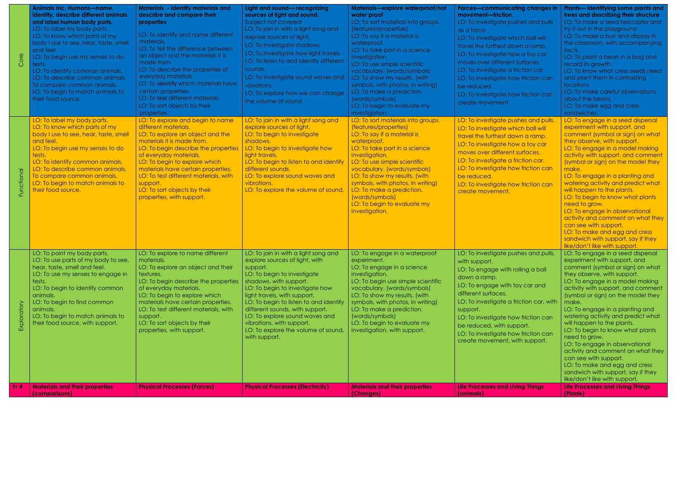| $\circ$ | Animals Inc. Humans-name,<br>identify, describe different animals<br>and label human body parts.<br>LO: To label my body parts.<br>LO: To know which parts of my<br>body I use to see, hear, taste, smell<br>and feel.<br>LO: To begin use my senses to do<br>tests.<br>LO: To identify common animals.<br>LO: To describe common animals.<br>To compare common animals.<br>LO: To begin to match animals to<br>their food source. | Materials - identify materials and<br>describe and compare their<br>properties<br>LO: To identify and name different<br>materials.<br>LO: To tell the difference between<br>an object and the materials it is<br>made from.<br>LO: To describe the properties of<br>everyday materials.<br>LO: To identify which materials have<br>certain properties.<br>LO: To test different materials.<br>LO: To sort objects by their<br>properties. | Light and sound-recognizing<br>sources of light and sound.<br>Subject not covered<br>LO: To join in with a light song and<br>explore sources of light.<br>LO: To Investigate shadows.<br>LO: To Investigate how light travels.<br>LO: To listen to and identify different<br>sounds.<br>LO: To investigate sound waves and<br>vibrations.<br>LO: To explore how we can change<br>the volume of sound.              | Materials-explore waterproof/not<br>water proof<br>LO: To sort materials into groups.<br>(features/properties)<br>LO: To say if a material is<br>waterproof.<br>LO: To take part in a science<br>investigation.<br>LO: To use simple scientific<br>vocabulary. (words/symbols)<br>LO: To show my results. (with<br>symbols, with photos, in writing)<br>LO: To make a prediction.<br>(words/symbols)<br>LO: To begin to evaluate my<br>investigation. | <b>Forces-communicating changes in</b><br>movement-friction.<br>LO: To investigate pushes and pulls<br>as a force.<br>LO: To investigate which ball will<br>travel the furthest down a ramp.<br>LO: To investigate how a toy car<br>moves over different surfaces.<br>LO: To investigate a friction car.<br>LO: To investigate how friction can<br>be reduced.<br>LO: To investigate how friction can<br>create movement. | Plants— identifying some plants and<br>trees and describing their structure<br>LO: To make a seed helicopter and<br>try it out in the playground<br>LO: To make a burr and display in<br>the classroom, with accompanying<br>facts.<br>LO: To plant a bean in a bag and<br>record its growth.<br>LO: To know what cress seeds need<br>and plant them in contrasting<br><b>locations</b><br>LO: To make careful observations<br>about the beans.<br>LO: To make egg and cress<br>sandwiches.                                                                                                                                      |
|---------|------------------------------------------------------------------------------------------------------------------------------------------------------------------------------------------------------------------------------------------------------------------------------------------------------------------------------------------------------------------------------------------------------------------------------------|-------------------------------------------------------------------------------------------------------------------------------------------------------------------------------------------------------------------------------------------------------------------------------------------------------------------------------------------------------------------------------------------------------------------------------------------|--------------------------------------------------------------------------------------------------------------------------------------------------------------------------------------------------------------------------------------------------------------------------------------------------------------------------------------------------------------------------------------------------------------------|-------------------------------------------------------------------------------------------------------------------------------------------------------------------------------------------------------------------------------------------------------------------------------------------------------------------------------------------------------------------------------------------------------------------------------------------------------|---------------------------------------------------------------------------------------------------------------------------------------------------------------------------------------------------------------------------------------------------------------------------------------------------------------------------------------------------------------------------------------------------------------------------|----------------------------------------------------------------------------------------------------------------------------------------------------------------------------------------------------------------------------------------------------------------------------------------------------------------------------------------------------------------------------------------------------------------------------------------------------------------------------------------------------------------------------------------------------------------------------------------------------------------------------------|
|         | LO: To label my body parts.<br>LO: To know which parts of my<br>body I use to see, hear, taste, smell<br>and feel.<br>LO: To begin use my senses to do<br>tests.<br>LO: To identify common animals.<br>LO: To describe common animals.<br>To compare common animals.<br>LO: To begin to match animals to<br>their food source.                                                                                                     | LO: To explore and begin to name<br>different materials.<br>LO: To explore an object and the<br>materials it is made from.<br>LO: To begin describe the properties<br>of everyday materials.<br>LO: To begin to explore which<br>materials have certain properties.<br>LO: To test different materials, with<br>support.<br>LO: To sort objects by their<br>properties, with support.                                                     | LO: To join in with a light song and<br>explore sources of light.<br>LO: To begin to investigate<br>shadows.<br>LO: To begin to investigate how<br>light travels.<br>LO: To begin to listen to and identify<br>different sounds.<br>LO: To explore sound waves and<br>vibrations.<br>LO: To explore the volume of sound.                                                                                           | LO: To sort materials into groups.<br>(features/properties)<br>LO: To say if a material is<br>waterproof.<br>LO: To take part in a science<br>investigation.<br>LO: To use simple scientific<br>vocabulary. (words/symbols)<br>LO: To show my results. (with<br>symbols, with photos, in writing)<br>LO: To make a prediction.<br>(words/symbols)<br>LO: To begin to evaluate my<br>investigation.                                                    | LO: To investigate pushes and pulls.<br>LO: To investigate which ball will<br>travel the furthest down a ramp.<br>LO: To investigate how a toy car<br>moves over different surfaces.<br>LO: To investigate a friction car.<br>LO: To investigate how friction can<br>be reduced.<br>LO: To investigate how friction can<br>create movement.                                                                               | LO: To engage in a seed dispersal<br>experiment with support, and<br>comment (symbol or sign) on what<br>they observe, with support.<br>LO: To engage in a model making<br>activity with support, and comment<br>(symbol or sign) on the model they<br>make.<br>LO: To engage in a planting and<br>watering activity and predict what<br>will happen to the plants.<br>LO: To begin to know what plants<br>need to grow.<br>LO: To engage in observational<br>activity and comment on what they<br>can see with support.<br>LO: To make and egg and cress<br>sandwich with support, say if they<br>like/don't like with support. |
| Explor  | LO: To point my body parts.<br>LO: To use parts of my body to see,<br>hear, taste, smell and feel.<br>LO: To use my senses to engage in<br>tests.<br>LO: To begin to identify common<br>animals.<br>LO: To begin to find common<br>animals.<br>LO: To begin to match animals to<br>their food source, with support.                                                                                                                | LO: To explore to name different<br>materials.<br>LO: To explore an object and their<br>textures.<br>LO: To begin describe the properties<br>of everyday materials.<br>LO: To begin to explore which<br>materials have certain properties.<br>LO: To test different materials, with<br>support.<br>LO: To sort objects by their<br>properties, with support.                                                                              | LO: To join in with a light song and<br>explore sources of light, with<br>support.<br>LO: To begin to investigate<br>shadows, with support.<br>LO: To begin to investigate how<br>light travels, with support.<br>LO: To begin to listen to and identify<br>different sounds, with support.<br>LO: To explore sound waves and<br>vibrations, with support.<br>LO: To explore the volume of sound,<br>with support. | LO: To engage in a waterproof<br>experiment.<br>LO: To engage in a science<br>investigation.<br>LO: To begin use simple scientific<br>vocabulary. (words/symbols)<br>LO: To show my results. (with<br>symbols, with photos, in writing)<br>LO: To make a prediction.<br>(words/symbols)<br>LO: To begin to evaluate my<br>investigation, with support.                                                                                                | LO: To investigate pushes and pulls,<br>with support.<br>LO: To engage with rolling a ball<br>down a ramp.<br>LO: To engage with toy car and<br>different surfaces.<br>LO: To investigate a friction car, with<br>support.<br>LO: To investigate how friction can<br>be reduced, with support.<br>LO: To investigate how friction can<br>create movement, with support.                                                   | LO: To engage in a seed dispersal<br>experiment with support, and<br>comment (symbol or sign) on what<br>they observe, with support.<br>LO: To engage in a model making<br>activity with support, and comment<br>(symbol or sign) on the model they<br>make.<br>LO: To engage in a planting and<br>watering activity and predict what<br>will happen to the plants.<br>LO: To begin to know what plants<br>need to grow.<br>LO: To engage in observational<br>activity and comment on what they<br>can see with support.<br>LO: To make and egg and cress<br>sandwich with support, say if they<br>like/don't like with support. |
| Yr 4    | <b>Materials and their properties</b><br>(comparisons)                                                                                                                                                                                                                                                                                                                                                                             | <b>Physical Processes (Forces)</b>                                                                                                                                                                                                                                                                                                                                                                                                        | <b>Physical Processes (Electricity)</b>                                                                                                                                                                                                                                                                                                                                                                            | <b>Materials and their properties</b><br>(Changes)                                                                                                                                                                                                                                                                                                                                                                                                    | <b>Life Processes and Living Things</b><br>(animals)                                                                                                                                                                                                                                                                                                                                                                      | <b>Life Processes and Living Things</b><br>(Plants)                                                                                                                                                                                                                                                                                                                                                                                                                                                                                                                                                                              |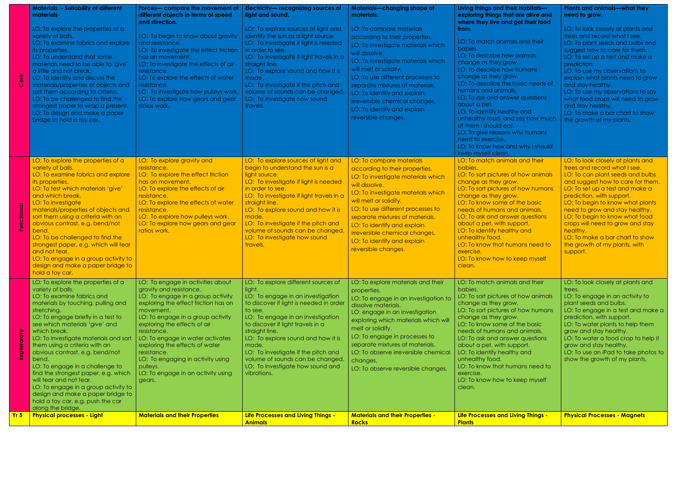|     | <b>Materials - Suitability of different</b><br>materials<br>LO: To explore the properties of a<br>variety of balls.<br>LO: To examine fabrics and explore<br>its properties.<br>LO: To understand that some<br>materials need to be able to 'give'<br>a little and not break.<br>LO: To identify and discuss the<br>materials/properties of objects and<br>sort them according to criteria.<br>LO: To be challenged to find the<br>strongest paper to wrap a present<br>LO: To design and make a paper<br>bridge to hold a toy car.                                                                   | Forces- compare the movement of<br>different objects in terms of speed<br>and direction.<br>LO: To begin to know about gravity<br>and resistance.<br>LO: To investigate the effect friction<br>has on movement.<br>LO: To investigate the effects of air<br>resistance.<br>LO: To explore the effects of water<br>resistance.<br>LO: To investigate how pulleys work.<br>LO: To explore how gears and gear<br>ratios work.       | Electricity-recognizing sources of<br>light and sound.<br>LO: To explore sources of light and<br>identify the sun as a light source.<br>LO: To investigate if light is needed<br>in order to see.<br>LO: To investigate if light travels in a<br>straight line.<br>LO: To explore sound and how it is<br>made.<br>LO: To investigate if the pitch and<br>volume of sounds can be changed.<br>LO: To investigate how sound<br>travels. | Materials-changing shape of<br>materials.<br>LO: To compare materials<br>according to their properties.<br>LO: To investigate materials which<br>will dissolve.<br>LO: To investigate materials which<br>will melt or solidify.<br>LO: To use different processes to<br>separate mixtures of materials.<br>LO: To identify and explain<br>irreversible chemical changes.<br>LO: To identify and explain<br>reversible changes. | Living things and their Habitats-<br>exploring things that are alive and<br>where they live and get their food<br>from.<br>LO: To match animals and their<br>babies.<br>LO: To describe how animals<br>change as they grow.<br>LO: To describe how humans<br>change as they grow.<br>LO: To describe the basic needs of<br>humans and animals.<br>LO: To ask and answer questions<br>about a pet.<br>LO: To identify healthy and<br>unhealthy food, and say how much<br>of them I should eat.<br>LO: To give reasons why humans<br>need to exercise.<br>LO: To know how and why I should<br>keep myself clean. | <b>Plants and animals—what they</b><br>need to grow.<br>LO: To look closely at plants and<br>trees and record what I see.<br>LO: To plant seeds and bulbs and<br>suggest how to care for them.<br>LO: To set up a test and make a<br>prediction.<br>LO: To use my observations to<br>explain what plants need to grow<br>and stay healthy.<br>LO: To use my observations to say<br>what food crops will need to grow<br>and stay healthy.<br>LO: To make a bar chart to show<br>the growth of my plants. |
|-----|-------------------------------------------------------------------------------------------------------------------------------------------------------------------------------------------------------------------------------------------------------------------------------------------------------------------------------------------------------------------------------------------------------------------------------------------------------------------------------------------------------------------------------------------------------------------------------------------------------|----------------------------------------------------------------------------------------------------------------------------------------------------------------------------------------------------------------------------------------------------------------------------------------------------------------------------------------------------------------------------------------------------------------------------------|---------------------------------------------------------------------------------------------------------------------------------------------------------------------------------------------------------------------------------------------------------------------------------------------------------------------------------------------------------------------------------------------------------------------------------------|--------------------------------------------------------------------------------------------------------------------------------------------------------------------------------------------------------------------------------------------------------------------------------------------------------------------------------------------------------------------------------------------------------------------------------|----------------------------------------------------------------------------------------------------------------------------------------------------------------------------------------------------------------------------------------------------------------------------------------------------------------------------------------------------------------------------------------------------------------------------------------------------------------------------------------------------------------------------------------------------------------------------------------------------------------|----------------------------------------------------------------------------------------------------------------------------------------------------------------------------------------------------------------------------------------------------------------------------------------------------------------------------------------------------------------------------------------------------------------------------------------------------------------------------------------------------------|
|     | LO: To explore the properties of a<br>variety of balls.<br>LO: To examine fabrics and explore<br>its properties.<br>LO: To test which materials 'give'<br>and which break.<br>LO: To investigate<br>materials/properties of objects and<br>sort them using a criteria with an<br>obvious contrast, e.g. bend/not<br>bend.<br>LO: To be challenged to find the<br>strongest paper, e.g. which will tear<br>and not tear.<br>LO: To engage in a group activity to<br>design and make a paper bridge to<br>hold a toy car.                                                                               | LO: To explore gravity and<br>resistance.<br>LO: To explore the effect friction<br>has on movement.<br>LO: To explore the effects of air<br>resistance.<br>LO: To explore the effects of water<br>resistance.<br>LO: To explore how pulleys work.<br>LO: To explore how gears and gear<br>ratios work.                                                                                                                           | LO: To explore sources of light and<br>begin to understand the sun is a<br>light source.<br>LO: To investigate if light is needed<br>in order to see.<br>LO: To investigate if light travels in a<br>straight line.<br>LO: To explore sound and how it is<br>made.<br>LO: To investigate if the pitch and<br>volume of sounds can be changed.<br>LO: To investigate how sound<br>travels.                                             | LO: To compare materials<br>according to their properties.<br>LO: To investigate materials which<br>will dissolve.<br>LO: To investigate materials which<br>will melt or solidify.<br>LO: To use different processes to<br>separate mixtures of materials.<br>LO: To identify and explain<br>irreversible chemical changes.<br>LO: To identify and explain<br>reversible changes.                                              | LO: To match animals and their<br>babies.<br>LO: To sort pictures of how animals<br>change as they grow.<br>LO: To sort pictures of how humans<br>change as they grow.<br>LO: To know some of the basic<br>needs of humans and animals.<br>LO: To ask and answer questions<br>about a pet, with support.<br>LO: To identify healthy and<br>unhealthy food.<br>LO: To know that humans need to<br>exercise.<br>LO: To know how to keep myself<br>clean.                                                                                                                                                         | LO: To look closely at plants and<br>trees and record what I see.<br>LO: To can plant seeds and bulbs<br>and suggest how to care for them.<br>LO: To set up a test and make a<br>prediction, with support.<br>LO: To begin to know what plants<br>need to grow and stay healthy.<br>LO: To begin to know what food<br>crops will need to grow and stay<br>healthy.<br>LO: To make a bar chart to show<br>the growth of my plants, with<br>support.                                                       |
|     | LO: To explore the properties of a<br>variety of balls.<br>LO: To examine fabrics and<br>materials by touching, pulling and<br>stretching.<br>LO: To engage briefly in a test to<br>see which materials 'give' and<br>which break.<br>LO: To investigate materials and sort<br>them using a criteria with an<br>obvious contrast, e.g. bend/not<br>bend.<br>LO: To engage in a challenge to<br>find the strongest paper, e.g. which<br>will tear and not tear.<br>LO: To engage in a group activity to<br>design and make a paper bridge to<br>hold a toy car, e.g. push the car<br>along the bridge. | LO: To engage in activities about<br>gravity and resistance.<br>LO: To engage in a group activity<br>exploring the effect friction has on<br>movement.<br>LO: To engage in a group activity<br>exploring the effects of air<br>resistance.<br>LO: To engage in water activates<br>exploring the effects of water<br>resistance.<br>LO: To engaging in activity using<br>pulleys.<br>LO: To engage in an activity using<br>gears. | LO: To explore different sources of<br>light.<br>LO: To engage in an investigation<br>to discover if light is needed in order<br>to see.<br>LO: To engage in an investigation<br>to discover if light travels in a<br>straight line.<br>LO: To explore sound and how it is<br>made.<br>LO: To investigate if the pitch and<br>volume of sounds can be changed.<br>LO: To investigate how sound and<br>vibrations.                     | LO: To explore materials and their<br>properties.<br>LO: To engage in an investigation to<br>dissolve materials.<br>LO: engage in an investigation<br>exploring which materials which will<br>melt or solidify.<br>LO: To engage in processes to<br>separate mixtures of materials.<br>LO: To observe irreversible chemical<br>changes.<br>LO: To observe reversible changes.                                                  | LO: To match animals and their<br>babies.<br>LO: To sort pictures of how animals<br>change as they grow.<br>LO: To sort pictures of how humans<br>change as they grow.<br>LO: To know some of the basic<br>needs of humans and animals.<br>LO: To ask and answer questions<br>about a pet, with support.<br>LO: To identify healthy and<br>unhealthy food.<br>LO: To know that humans need to<br>exercise.<br>LO: To know how to keep myself<br>clean.                                                                                                                                                         | LO: To look closely at plants and<br>trees.<br>LO: To engage in an activity to<br>plant seeds and bulbs.<br>LO: To engage in a test and make a<br>prediction, with support.<br>LO: To water plants to help them<br>grow and stay healthy.<br>LO: To water a food crop to help it<br>grow and stay healthy.<br>LO: To use an iPad to take photos to<br>show the growth of my plants,                                                                                                                      |
| Yr5 | <b>Physical processes - Light</b>                                                                                                                                                                                                                                                                                                                                                                                                                                                                                                                                                                     | <b>Materials and their Properties</b>                                                                                                                                                                                                                                                                                                                                                                                            | Life Processes and Living Things -<br><b>Animals</b>                                                                                                                                                                                                                                                                                                                                                                                  | <b>Materials and their Properties -</b><br>Rocks                                                                                                                                                                                                                                                                                                                                                                               | Life Processes and Living Things -<br><b>Plants</b>                                                                                                                                                                                                                                                                                                                                                                                                                                                                                                                                                            | <b>Physical Processes - Magnets</b>                                                                                                                                                                                                                                                                                                                                                                                                                                                                      |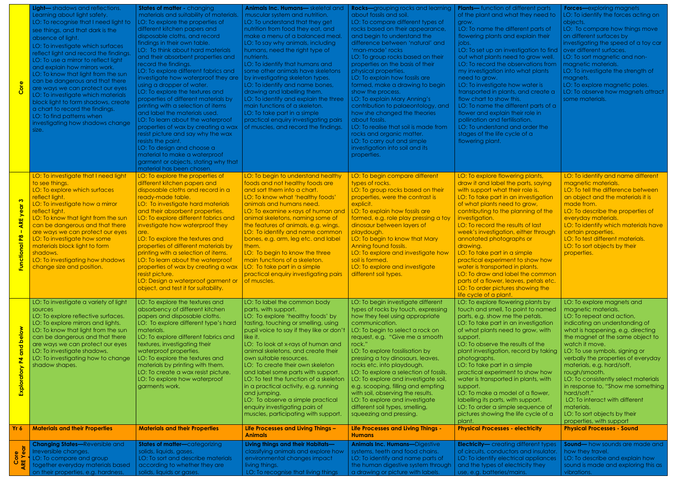| Core                                                                                 | Light-shadows and reflections.<br>Learning about light safety.<br>LO: To recognise that I need light to<br>see things, and that dark is the<br>absence of light.<br>LO: To investigate which surfaces<br>reflect light and record the findings.<br>LO: To use a mirror to reflect light<br>and explain how mirrors work.<br>LO: To know that light from the sun<br>can be dangerous and that there<br>are ways we can protect our eyes<br>LO: To investigate which materials<br>block light to form shadows, create<br>a chart to record the findings.<br>LO: To find patterns when<br>investigating how shadows change<br>size. | <b>States of matter - changing</b><br>materials and suitability of materials.<br>LO: To explore the properties of<br>different kitchen papers and<br>disposable cloths, and record<br>findings in their own table.<br>LO: To think about hard materials<br>and their absorbent properties and<br>record the findings.<br>LO: To explore different fabrics and<br>investigate how waterproof they are<br>using a dropper of water.<br>LO: To explore the textures and<br>properties of different materials by<br>printing with a selection of items<br>and label the materials used.<br>LO: To learn about the waterproof<br>properties of wax by creating a wax<br>resist picture and say why the wax<br>resists the paint. | Animals Inc. Humans- skeletal and<br>muscular system and nutrition.<br>LO: To understand that they get<br>nutrition from food they eat, and<br>make a menu of a balanced meal.<br>LO: To say why animals, including<br>humans, need the right type of<br>nutrients.<br>LO: To identify that humans and<br>some other animals have skeletons<br>by investigating skeleton types.<br>LO: To identify and name bones,<br>drawing and labelling them.<br>LO: To identify and explain the three<br>main functions of a skeleton.<br>LO: To take part in a simple<br>practical enquiry investigating pairs<br>of muscles, and record the findings. | <b>Rocks-</b> grouping rocks and learning<br>about fossils and soil.<br>LO: To compare different types of<br>rocks based on their appearance,<br>and begin to understand the<br>difference between 'natural' and<br>'man-made' rocks<br>LO: To group rocks based on their<br>properties on the basis of their<br>physical properties.<br>LO: To explain how fossils are<br>formed, make a drawing to begin<br>show the process.<br>LO: To explain Mary Anning's<br>contribution to palaeontology, and<br>how she changed the theories<br>about fossils.<br>LO: To realise that soil is made from<br>rocks and organic matter.<br>LO: To carry out and simple | <b>Plants—</b> function of different parts<br>of the plant and what they need to<br>grow.<br>LO: To name the different parts of<br>flowering plants and explain their<br>jobs.<br>LO: To set up an investigation to find<br>out what plants need to grow well.<br>LO: To record the observations from<br>my investigation into what plants<br>need to grow.<br>LO: To investigate how water is<br>transported in plants, and create a<br>flow chart to show this.<br>LO: To name the different parts of a<br>flower and explain their role in<br>pollination and fertilisation.<br>LO: To understand and order the<br>stages of the life cycle of a<br>flowering plant. | <b>Forces-exploring magnets</b><br>LO: To identify the forces acting on<br>objects.<br>LO: To compare how things move<br>on different surfaces by<br>investigating the speed of a toy car<br>over different surfaces.<br>LO: To sort magnetic and non-<br>magnetic materials.<br>LO: To investigate the strength of<br>magnets.<br>LO: To explore magnetic poles.<br>LO: To observe how magnets attract<br>some materials.                                                                                                                   |
|--------------------------------------------------------------------------------------|----------------------------------------------------------------------------------------------------------------------------------------------------------------------------------------------------------------------------------------------------------------------------------------------------------------------------------------------------------------------------------------------------------------------------------------------------------------------------------------------------------------------------------------------------------------------------------------------------------------------------------|-----------------------------------------------------------------------------------------------------------------------------------------------------------------------------------------------------------------------------------------------------------------------------------------------------------------------------------------------------------------------------------------------------------------------------------------------------------------------------------------------------------------------------------------------------------------------------------------------------------------------------------------------------------------------------------------------------------------------------|----------------------------------------------------------------------------------------------------------------------------------------------------------------------------------------------------------------------------------------------------------------------------------------------------------------------------------------------------------------------------------------------------------------------------------------------------------------------------------------------------------------------------------------------------------------------------------------------------------------------------------------------|--------------------------------------------------------------------------------------------------------------------------------------------------------------------------------------------------------------------------------------------------------------------------------------------------------------------------------------------------------------------------------------------------------------------------------------------------------------------------------------------------------------------------------------------------------------------------------------------------------------------------------------------------------------|-------------------------------------------------------------------------------------------------------------------------------------------------------------------------------------------------------------------------------------------------------------------------------------------------------------------------------------------------------------------------------------------------------------------------------------------------------------------------------------------------------------------------------------------------------------------------------------------------------------------------------------------------------------------------|----------------------------------------------------------------------------------------------------------------------------------------------------------------------------------------------------------------------------------------------------------------------------------------------------------------------------------------------------------------------------------------------------------------------------------------------------------------------------------------------------------------------------------------------|
|                                                                                      | LO: To investigate that I need light                                                                                                                                                                                                                                                                                                                                                                                                                                                                                                                                                                                             | LO: To design and choose a<br>material to make a waterproof<br>garment or objects, stating why that<br>material has been chosen.<br>LO: To explore the properties of                                                                                                                                                                                                                                                                                                                                                                                                                                                                                                                                                        | LO: To begin to understand healthy                                                                                                                                                                                                                                                                                                                                                                                                                                                                                                                                                                                                           | investigation into soil and its<br>properties.<br>LO: To begin compare different                                                                                                                                                                                                                                                                                                                                                                                                                                                                                                                                                                             | LO: To explore flowering plants,                                                                                                                                                                                                                                                                                                                                                                                                                                                                                                                                                                                                                                        | LO: To identify and name different                                                                                                                                                                                                                                                                                                                                                                                                                                                                                                           |
| ్<br>뵎<br>$\blacktriangleleft$<br>$\frac{8}{2}$<br>÷                                 | to see things.<br>LO: To explore which surfaces<br>reflect light.<br>LO: To investigate how a mirror<br>reflect light.<br>LO: To know that light from the sun<br>can be dangerous and that there<br>are ways we can protect our eyes<br>LO: To investigate how some<br>materials block light to form<br>shadows.<br>LO: To investigating how shadows<br>change size and position.                                                                                                                                                                                                                                                | different kitchen papers and<br>disposable cloths and record in a<br>ready-made table.<br>LO: To investigate hard materials<br>and their absorbent properties.<br>LO: To explore different fabrics and<br>investigate how waterproof they<br>are.<br>LO: To explore the textures and<br>properties of different materials by<br>printing with a selection of items.<br>LO: To learn about the waterproof<br>properties of wax by creating a wax<br>resist picture.<br>LO: Design a waterproof garment or<br>object, and test it for suitability.                                                                                                                                                                            | foods and not healthy foods are<br>and sort them into a chart.<br>LO: To know what 'healthy foods'<br>animals and humans need.<br>LO: To examine x-rays of human and<br>animal skeletons, naming some of<br>the features of animals, e.g. wings.<br>LO: To identify and name common<br>bones, e.g. arm, leg etc. and label<br>them.<br>LO: To begin to know the three<br>main functions of a skeleton.<br>LO: To take part in a simple<br>practical enquiry investigating pairs<br>of muscles.                                                                                                                                               | types of rocks.<br>LO: To group rocks based on their<br>properties, were the contrast is<br>explicit.<br>LO: To explain how fossils are<br>formed, e.g. role play pressing a toy<br>dinosaur between layers of<br>playdough.<br>LO: To begin to know that Mary<br>Anning found fossils.<br>LO: To explore and investigate how<br>soil is formed.<br>LO: To explore and investigate<br>different soil types.                                                                                                                                                                                                                                                  | draw it and label the parts, saying<br>with support what their role is.<br>LO: To take part in an investigation<br>of what plants need to grow,<br>contributing to the planning of the<br>investigation.<br>LO: To record the results of last<br>week's investigation, either through<br>annotated photographs or<br>drawing.<br>LO: To take part in a simple<br>practical experiment to show how<br>water is transported in plants.<br>LO: To draw and label the common<br>parts of a flower, leaves, petals etc.<br>LO: To order pictures showing the<br>life cycle of a plant.                                                                                       | magnetic materials.<br>LO: To tell the difference between<br>an object and the materials it is<br>made from.<br>LO: To describe the properties of<br>everyday materials.<br>LO: To identify which materials have<br>certain properties.<br>LO: To test different materials.<br>LO: To sort objects by their<br>properties.                                                                                                                                                                                                                   |
| $\overline{\mathbf{C}}$<br>$\blacksquare$<br>$\overline{\phantom{a}}$<br>Exploratory | LO: To investigate a variety of light<br>sources<br>LO: To explore reflective surfaces.<br>LO: To explore mirrors and lights.<br>LO: To know that light from the sun<br>can be dangerous and that there<br>are ways we can protect our eyes<br>LO: To investigate shadows.<br>LO: To investigating how to change<br>shadow shapes.                                                                                                                                                                                                                                                                                               | LO: To explore the textures and<br>absorbency of different kitchen<br>papers and disposable cloths.<br>LO: To explore different type's hard<br>materials.<br>LO: To explore different fabrics and<br>textures, investigating their<br>waterproof properties.<br>LO: To explore the textures and<br>materials by printing with them.<br>LO: To create a wax resist picture.<br>LO: To explore how waterproof<br>garments work.                                                                                                                                                                                                                                                                                               | LO: To label the common body<br>parts, with support.<br>LO: To explore 'healthy foods' by<br>tasting, touching or smelling, using<br>pupil voice to say if they like or don't<br>like it.<br>LO: To look at x-rays of human and<br>animal skeletons, and create their<br>own suitable resources.<br>LO: To create their own skeleton<br>and label some parts with support.<br>LO: To test the function of a skeleton<br>in a practical activity, e.g. running<br>and jumping.<br>LO: To observe a simple practical<br>enquiry investigating pairs of<br>muscles, participating with support.                                                 | LO: To begin investigate different<br>types of rocks by touch, expressing<br>how they feel using appropriate<br>communication.<br>LO: To begin to select a rock on<br>request, e.g. "Give me a smooth<br>rock."<br>LO: To explore fossilisation by<br>pressing a toy dinosaurs, leaves,<br>rocks etc. into playdough.<br>LO: To explore a selection of fossils.<br>LO: To explore and investigate soil,<br>e.g. scooping, filling and empting<br>with soil, observing the results.<br>LO: To explore and investigate<br>different soil types, smelling,<br>squeezing and pressing.                                                                           | LO: To explore flowering plants by<br>touch and smell, To point to named<br>parts, e.g. show me the petals.<br>LO: To take part in an investigation<br>of what plants need to grow, with<br>support.<br>LO: To observe the results of the<br>plant investigation, record by taking<br>photographs.<br>LO: To take part in a simple<br>practical experiment to show how<br>water is transported in plants, with<br>support.<br>LO: To make a model of a flower,<br>labelling its parts, with support.<br>LO: To order a simple sequence of<br>pictures showing the life cycle of a<br>plant.                                                                             | LO: To explore magnets and<br>magnetic materials.<br>LO: To repeat and action,<br>indicating an understanding of<br>what is happening, e.g. directing<br>the magnet at the same object to<br>watch it move.<br>LO: To use symbols, signing or<br>verbally the properties of everyday<br>materials, e.g. hard/soft,<br>rough/smooth.<br>LO: To consistently select materials<br>in response to, "Show me something<br>hard/soft."<br>LO: To interact with different<br>materials.<br>LO: To sort objects by their<br>properties, with support |
| Yr 6                                                                                 | <b>Materials and their Properties</b>                                                                                                                                                                                                                                                                                                                                                                                                                                                                                                                                                                                            | <b>Materials and their Properties</b>                                                                                                                                                                                                                                                                                                                                                                                                                                                                                                                                                                                                                                                                                       | Life Processes and Living Things -<br><b>Animals</b>                                                                                                                                                                                                                                                                                                                                                                                                                                                                                                                                                                                         | Life Processes and Living Things -<br><b>Humans</b>                                                                                                                                                                                                                                                                                                                                                                                                                                                                                                                                                                                                          | <b>Physical Processes - electricity</b>                                                                                                                                                                                                                                                                                                                                                                                                                                                                                                                                                                                                                                 | <b>Physical Processes - Sound</b>                                                                                                                                                                                                                                                                                                                                                                                                                                                                                                            |
| $\mathbf{0}$ $\mathbf{0}$                                                            | <b>Changing States-Reversible and</b><br>Irreversible changes.<br>LO: To compare and group<br>together everyday materials based<br>on their properties, e.g. hardness,                                                                                                                                                                                                                                                                                                                                                                                                                                                           | <b>States of matter-categorizing</b><br>solids, liquids, gases.<br>LO: To sort and describe materials<br>according to whether they are<br>solids, liquids or gases.                                                                                                                                                                                                                                                                                                                                                                                                                                                                                                                                                         | Living things and their Habitats-<br>classifying animals and explore how<br>environmental changes impact<br>living things.<br>LO: To recognise that living things                                                                                                                                                                                                                                                                                                                                                                                                                                                                            | <b>Animals Inc. Humans-Digestive</b><br>systems, teeth and food chains.<br>LO: To identify and name parts of<br>the human digestive system through<br>a drawing or picture with labels.                                                                                                                                                                                                                                                                                                                                                                                                                                                                      | <b>Electricity-</b> creating different types<br>of circuits, conductors and insulator.<br>LO: To identify electrical appliances<br>and the types of electricity they<br>use, e.g. batteries/mains.                                                                                                                                                                                                                                                                                                                                                                                                                                                                      | Sound-how sounds are made and<br>how they travel.<br>LO: To describe and explain how<br>sound is made and exploring this as<br>vibrations.                                                                                                                                                                                                                                                                                                                                                                                                   |